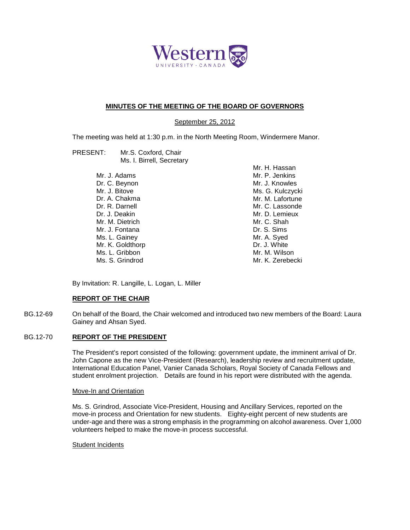

# **MINUTES OF THE MEETING OF THE BOARD OF GOVERNORS**

September 25, 2012

The meeting was held at 1:30 p.m. in the North Meeting Room, Windermere Manor.

| PRESENT: | Mr.S. Coxford, Chair      |
|----------|---------------------------|
|          | Ms. I. Birrell, Secretary |

Mr. J. Adams Dr. C. Beynon Mr. J. Bitove Dr. A. Chakma Dr. R. Darnell Dr. J. Deakin Mr. M. Dietrich Mr. J. Fontana Ms. L. Gainey Mr. K. Goldthorp Ms. L. Gribbon Ms. S. Grindrod

Mr. H. Hassan Mr. P. Jenkins Mr. J. Knowles Ms. G. Kulczycki Mr. M. Lafortune Mr. C. Lassonde Mr. D. Lemieux Mr. C. Shah Dr. S. Sims Mr. A. Syed Dr. J. White Mr. M. Wilson Mr. K. Zerebecki

By Invitation: R. Langille, L. Logan, L. Miller

### **REPORT OF THE CHAIR**

BG.12-69 On behalf of the Board, the Chair welcomed and introduced two new members of the Board: Laura Gainey and Ahsan Syed.

### BG.12-70 **REPORT OF THE PRESIDENT**

The President's report consisted of the following: government update, the imminent arrival of Dr. John Capone as the new Vice-President (Research), leadership review and recruitment update, International Education Panel, Vanier Canada Scholars, Royal Society of Canada Fellows and student enrolment projection. Details are found in his report were distributed with the agenda.

#### Move-In and Orientation

Ms. S. Grindrod, Associate Vice-President, Housing and Ancillary Services, reported on the move-in process and Orientation for new students. Eighty-eight percent of new students are under-age and there was a strong emphasis in the programming on alcohol awareness. Over 1,000 volunteers helped to make the move-in process successful.

#### Student Incidents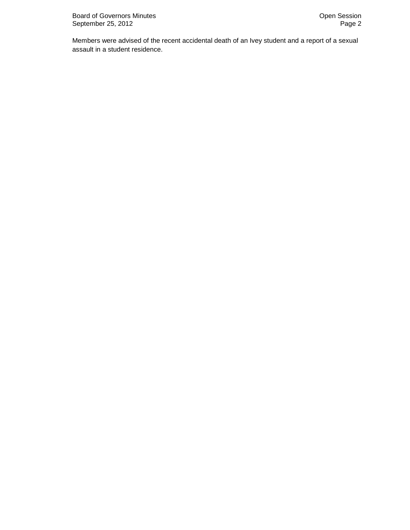Members were advised of the recent accidental death of an Ivey student and a report of a sexual assault in a student residence.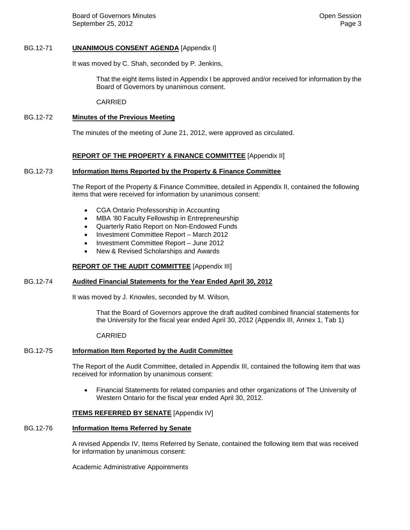Board of Governors Minutes **Community** Community Community Community Community Community Community Community Community Community Community Community Community Community Community Community Community Community Community Com September 25, 2012 **Page 3** 

# BG.12-71 **UNANIMOUS CONSENT AGENDA** [Appendix I]

It was moved by C. Shah, seconded by P. Jenkins,

That the eight items listed in Appendix I be approved and/or received for information by the Board of Governors by unanimous consent.

CARRIED

# BG.12-72 **Minutes of the Previous Meeting**

The minutes of the meeting of June 21, 2012, were approved as circulated.

### **REPORT OF THE PROPERTY & FINANCE COMMITTEE** [Appendix II]

### BG.12-73 **Information Items Reported by the Property & Finance Committee**

The Report of the Property & Finance Committee, detailed in Appendix II, contained the following items that were received for information by unanimous consent:

- CGA Ontario Professorship in Accounting
- MBA '80 Faculty Fellowship in Entrepreneurship
- Quarterly Ratio Report on Non-Endowed Funds
- Investment Committee Report March 2012
- Investment Committee Report June 2012
- New & Revised Scholarships and Awards

#### **REPORT OF THE AUDIT COMMITTEE** [Appendix III]

### BG.12-74 **Audited Financial Statements for the Year Ended April 30, 2012**

It was moved by J. Knowles, seconded by M. Wilson,

That the Board of Governors approve the draft audited combined financial statements for the University for the fiscal year ended April 30, 2012 (Appendix III, Annex 1, Tab 1)

#### CARRIED

### BG.12-75 **Information Item Reported by the Audit Committee**

The Report of the Audit Committee, detailed in Appendix III, contained the following item that was received for information by unanimous consent:

• Financial Statements for related companies and other organizations of The University of Western Ontario for the fiscal year ended April 30, 2012.

### **ITEMS REFERRED BY SENATE** [Appendix IV]

#### BG.12-76 **Information Items Referred by Senate**

A revised Appendix IV, Items Referred by Senate, contained the following item that was received for information by unanimous consent:

Academic Administrative Appointments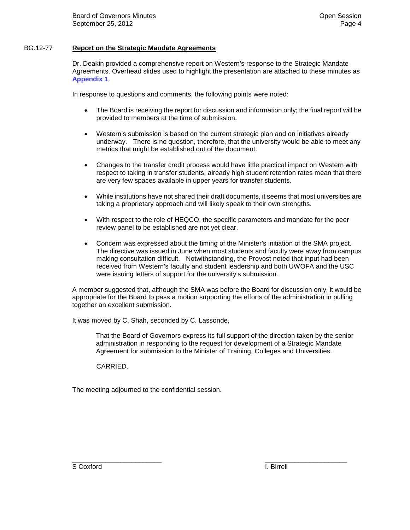# BG.12-77 **Report on the Strategic Mandate Agreements**

Dr. Deakin provided a comprehensive report on Western's response to the Strategic Mandate Agreements. Overhead slides used to highlight the presentation are attached to these minutes as **Appendix 1**.

In response to questions and comments, the following points were noted:

- The Board is receiving the report for discussion and information only; the final report will be provided to members at the time of submission.
- Western's submission is based on the current strategic plan and on initiatives already underway. There is no question, therefore, that the university would be able to meet any metrics that might be established out of the document.
- Changes to the transfer credit process would have little practical impact on Western with respect to taking in transfer students; already high student retention rates mean that there are very few spaces available in upper years for transfer students.
- While institutions have not shared their draft documents, it seems that most universities are taking a proprietary approach and will likely speak to their own strengths.
- With respect to the role of HEQCO, the specific parameters and mandate for the peer review panel to be established are not yet clear.
- Concern was expressed about the timing of the Minister's initiation of the SMA project. The directive was issued in June when most students and faculty were away from campus making consultation difficult. Notwithstanding, the Provost noted that input had been received from Western's faculty and student leadership and both UWOFA and the USC were issuing letters of support for the university's submission.

A member suggested that, although the SMA was before the Board for discussion only, it would be appropriate for the Board to pass a motion supporting the efforts of the administration in pulling together an excellent submission.

It was moved by C. Shah, seconded by C. Lassonde,

That the Board of Governors express its full support of the direction taken by the senior administration in responding to the request for development of a Strategic Mandate Agreement for submission to the Minister of Training, Colleges and Universities.

CARRIED.

The meeting adjourned to the confidential session.